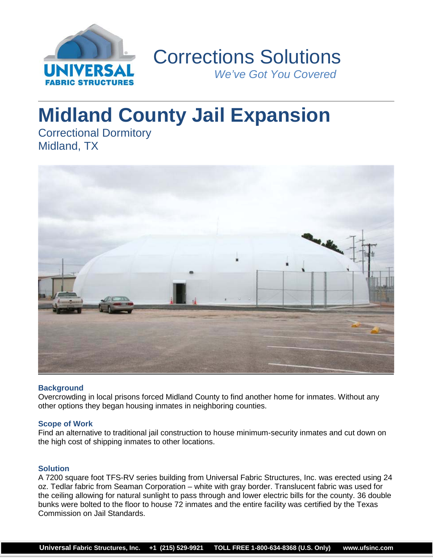

 Corrections Solutions *We've Got You Covered*

# **Midland County Jail Expansion**

Correctional Dormitory Midland, TX



## **Background**

Overcrowding in local prisons forced Midland County to find another home for inmates. Without any other options they began housing inmates in neighboring counties.

## **Scope of Work**

Find an alternative to traditional jail construction to house minimum-security inmates and cut down on the high cost of shipping inmates to other locations.

## **Solution**

A 7200 square foot TFS-RV series building from Universal Fabric Structures, Inc. was erected using 24 oz. Tedlar fabric from Seaman Corporation – white with gray border. Translucent fabric was used for the ceiling allowing for natural sunlight to pass through and lower electric bills for the county. 36 double bunks were bolted to the floor to house 72 inmates and the entire facility was certified by the Texas Commission on Jail Standards.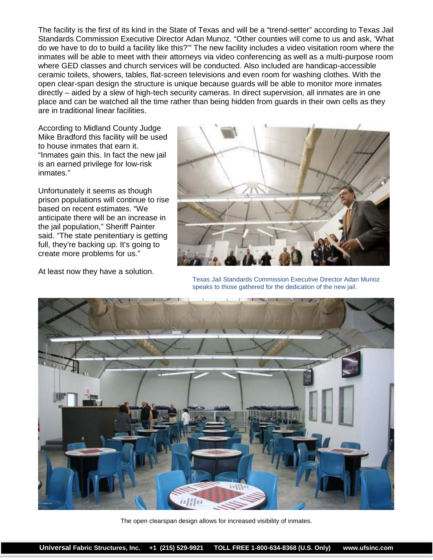The facility is the first of its kind in the State of Texas and will be a "trend-setter" according to Texas Jail Standards Commission Executive Director Adan Munoz. "Other counties will come to us and ask, 'What do we have to do to build a facility like this?'" The new facility includes a video visitation room where the inmates will be able to meet with their attorneys via video conferencing as well as a multi-purpose room where GED classes and church services will be conducted. Also included are handicap-accessible ceramic toilets, showers, tables, flat-screen televisions and even room for washing clothes. With the open clear-span design the structure is unique because guards will be able to monitor more inmates directly – aided by a slew of high-tech security cameras. In direct supervision, all inmates are in one place and can be watched all the time rather than being hidden from guards in their own cells as they are in traditional linear facilities.

According to Midland County Judge Mike Bradford this facility will be used to house inmates that earn it. "Inmates gain this. In fact the new jail is an earned privilege for low-risk inmates."

Unfortunately it seems as though prison populations will continue to rise based on recent estimates. "We anticipate there will be an increase in the jail population," Sheriff Painter said. "The state penitentiary is getting full, they're backing up. It's going to create more problems for us."



At least now they have a solution. Texas Jail Standards Commission Executive Director Adan Munoz speaks to those gathered for the dedication of the new jail.



The open clearspan design allows for increased visibility of inmates.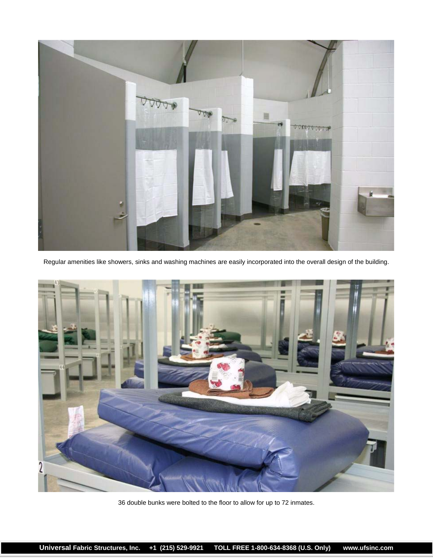

Regular amenities like showers, sinks and washing machines are easily incorporated into the overall design of the building.



36 double bunks were bolted to the floor to allow for up to 72 inmates.